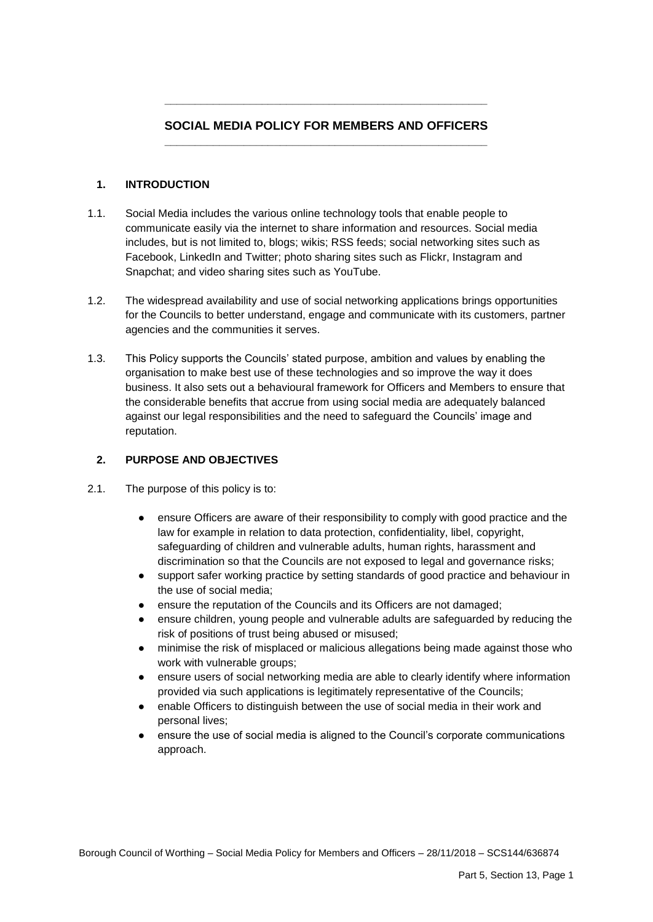# **SOCIAL MEDIA POLICY FOR MEMBERS AND OFFICERS \_\_\_\_\_\_\_\_\_\_\_\_\_\_\_\_\_\_\_\_\_\_\_\_\_\_\_\_\_\_\_\_\_\_\_\_\_\_\_\_\_\_\_\_\_\_\_\_\_\_\_\_\_**

**\_\_\_\_\_\_\_\_\_\_\_\_\_\_\_\_\_\_\_\_\_\_\_\_\_\_\_\_\_\_\_\_\_\_\_\_\_\_\_\_\_\_\_\_\_\_\_\_\_\_\_\_\_** 

## **1. INTRODUCTION**

- $1.1.$ Social Media includes the various online technology tools that enable people to communicate easily via the internet to share information and resources. Social media includes, but is not limited to, blogs; wikis; RSS feeds; social networking sites such as Facebook, LinkedIn and Twitter; photo sharing sites such as Flickr, Instagram and Snapchat; and video sharing sites such as YouTube.
- 1.2. The widespread availability and use of social networking applications brings opportunities for the Councils to better understand, engage and communicate with its customers, partner agencies and the communities it serves.
- 1.3. This Policy supports the Councils' stated purpose, ambition and values by enabling the against our legal responsibilities and the need to safeguard the Councils' image and organisation to make best use of these technologies and so improve the way it does business. It also sets out a behavioural framework for Officers and Members to ensure that the considerable benefits that accrue from using social media are adequately balanced reputation.

## **2. PURPOSE AND OBJECTIVES**

- 2.1. The purpose of this policy is to:
	- ensure Officers are aware of their responsibility to comply with good practice and the law for example in relation to data protection, confidentiality, libel, copyright, safeguarding of children and vulnerable adults, human rights, harassment and discrimination so that the Councils are not exposed to legal and governance risks;
	- support safer working practice by setting standards of good practice and behaviour in the use of social media;
	- ensure the reputation of the Councils and its Officers are not damaged;
	- ensure children, young people and vulnerable adults are safeguarded by reducing the risk of positions of trust being abused or misused;
	- minimise the risk of misplaced or malicious allegations being made against those who work with vulnerable groups;
	- ensure users of social networking media are able to clearly identify where information provided via such applications is legitimately representative of the Councils;
	- enable Officers to distinguish between the use of social media in their work and personal lives;
	- ensure the use of social media is aligned to the Council's corporate communications approach.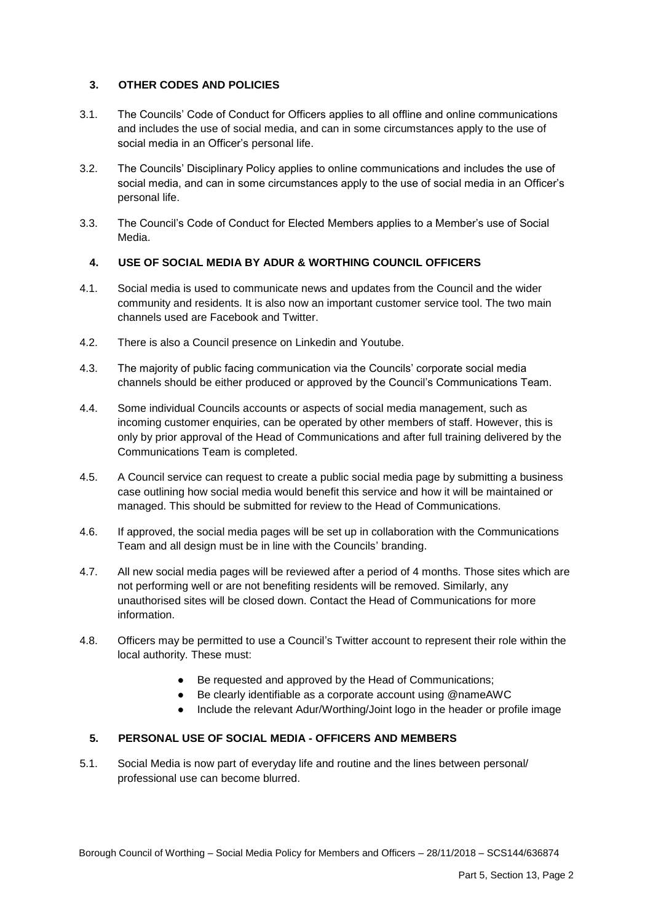## **3. OTHER CODES AND POLICIES**

- 3.1. The Councils' Code of Conduct for Officers applies to all offline and online communications and includes the use of social media, and can in some circumstances apply to the use of social media in an Officer's personal life.
- 3.2. The Councils' Disciplinary Policy applies to online communications and includes the use of social media, and can in some circumstances apply to the use of social media in an Officer's personal life.
- 3.3. The Council's Code of Conduct for Elected Members applies to a Member's use of Social Media.

## **4. USE OF SOCIAL MEDIA BY ADUR & WORTHING COUNCIL OFFICERS**

- 4.1. Social media is used to communicate news and updates from the Council and the wider community and residents. It is also now an important customer service tool. The two main channels used are Facebook and Twitter.
- 4.2. There is also a Council presence on Linkedin and Youtube.
- 4.3. The majority of public facing communication via the Councils' corporate social media channels should be either produced or approved by the Council's Communications Team.
- 4.4. Some individual Councils accounts or aspects of social media management, such as incoming customer enquiries, can be operated by other members of staff. However, this is only by prior approval of the Head of Communications and after full training delivered by the Communications Team is completed.
- 4.5. A Council service can request to create a public social media page by submitting a business case outlining how social media would benefit this service and how it will be maintained or managed. This should be submitted for review to the Head of Communications.
- 4.6. If approved, the social media pages will be set up in collaboration with the Communications Team and all design must be in line with the Councils' branding.
- not performing well or are not benefiting residents will be removed. Similarly, any unauthorised sites will be closed down. Contact the Head of Communications for more 4.7. All new social media pages will be reviewed after a period of 4 months. Those sites which are information.
- $4.8.$ Officers may be permitted to use a Council's Twitter account to represent their role within the local authority. These must:
	- Be requested and approved by the Head of Communications;
	- Be clearly identifiable as a corporate account using @nameAWC
	- Include the relevant Adur/Worthing/Joint logo in the header or profile image

## **5. PERSONAL USE OF SOCIAL MEDIA - OFFICERS AND MEMBERS**

 $5.1.$ Social Media is now part of everyday life and routine and the lines between personal/ professional use can become blurred.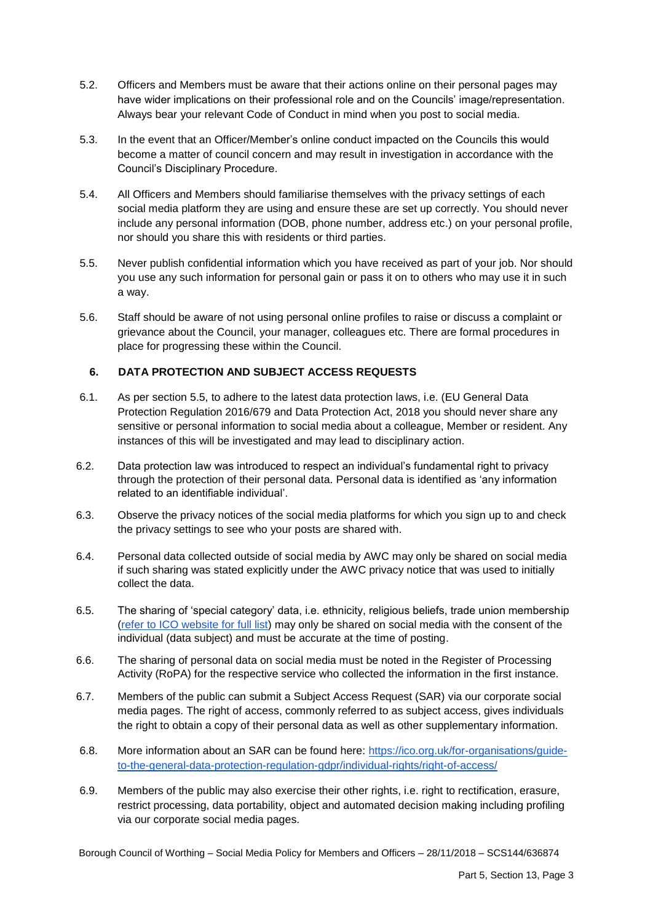- $5.2.$  have wider implications on their professional role and on the Councils' image/representation. Always bear your relevant Code of Conduct in mind when you post to social media. Officers and Members must be aware that their actions online on their personal pages may
- 5.3. In the event that an Officer/Member's online conduct impacted on the Councils this would become a matter of council concern and may result in investigation in accordance with the Council's Disciplinary Procedure.
- 5.4. All Officers and Members should familiarise themselves with the privacy settings of each social media platform they are using and ensure these are set up correctly. You should never include any personal information (DOB, phone number, address etc.) on your personal profile, nor should you share this with residents or third parties.
- 5.5. Never publish confidential information which you have received as part of your job. Nor should you use any such information for personal gain or pass it on to others who may use it in such a way.
- 5.6. Staff should be aware of not using personal online profiles to raise or discuss a complaint or grievance about the Council, your manager, colleagues etc. There are formal procedures in place for progressing these within the Council.

#### **6. DATA PROTECTION AND SUBJECT ACCESS REQUESTS**

- sensitive or personal information to social media about a colleague, Member or resident. Any instances of this will be investigated and may lead to disciplinary action. 6.1. As per section 5.5, to adhere to the latest data protection laws, i.e. (EU General Data Protection Regulation 2016/679 and Data Protection Act, 2018 you should never share any
- 6.2. Data protection law was introduced to respect an individual's fundamental right to privacy through the protection of their personal data. Personal data is identified as 'any information related to an identifiable individual'.
- 6.3. Observe the privacy notices of the social media platforms for which you sign up to and check the privacy settings to see who your posts are shared with.
- 6.4. Personal data collected outside of social media by AWC may only be shared on social media if such sharing was stated explicitly under the AWC privacy notice that was used to initially collect the data.
- 6.5. The sharing of 'special category' data, i.e. ethnicity, religious beliefs, trade union membership [\(refer to ICO website for full list\)](https://ico.org.uk/for-organisations/guide-to-the-general-data-protection-regulation-gdpr/lawful-basis-for-processing/special-category-data/) may only be shared on social media with the consent of the individual (data subject) and must be accurate at the time of posting.
- 6.6. The sharing of personal data on social media must be noted in the Register of Processing Activity (RoPA) for the respective service who collected the information in the first instance.
- media pages. The right of access, commonly referred to as subject access, gives individuals the right to obtain a copy of their personal data as well as other supplementary information. 6.7. Members of the public can submit a Subject Access Request (SAR) via our corporate social
- 6.8. More information about an SAR can be found here: [https://ico.org.uk/for-organisations/guide](https://ico.org.uk/for-organisations/guide-to-the-general-data-protection-regulation-gdpr/individual-rights/right-of-access/)[to-the-general-data-protection-regulation-gdpr/individual-rights/right-of-access/](https://ico.org.uk/for-organisations/guide-to-the-general-data-protection-regulation-gdpr/individual-rights/right-of-access/)
- 6.9. Members of the public may also exercise their other rights, i.e. right to rectification, erasure, restrict processing, data portability, object and automated decision making including profiling via our corporate social media pages.

Borough Council of Worthing – Social Media Policy for Members and Officers – 28/11/2018 – SCS144/636874